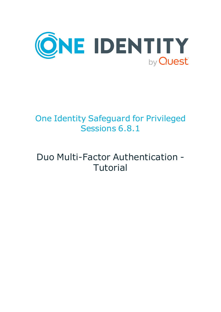

## One Identity Safeguard for Privileged Sessions 6.8.1

## Duo Multi-Factor Authentication - Tutorial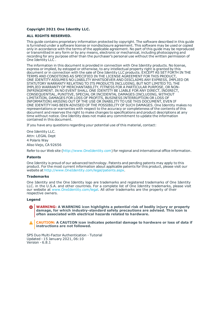#### **Copyright 2021 One Identity LLC.**

#### **ALL RIGHTS RESERVED.**

This guide contains proprietary information protected by copyright. The software described in this guide is furnished under a software license or nondisclosure agreement. This software may be used or copied only in accordance with the terms of the applicable agreement. No part of this guide may be reproduced or transmitted in any form or by any means, electronic or mechanical, including photocopying and recording for any purpose other than the purchaser's personal use without the written permission of One Identity LLC .

The information in this document is provided in connection with One Identity products. No license, express or implied, by estoppel or otherwise, to any intellectual property right is granted by this document or in connection with the sale of One Identity LLC products. EXCEPT AS SET FORTH IN THE TERMS AND CONDITIONS AS SPECIFIED IN THE LICENSE AGREEMENT FOR THIS PRODUCT, ONE IDENTITY ASSUMES NO LIABILITY WHATSOEVER AND DISCLAIMS ANY EXPRESS, IMPLIED OR STATUTORY WARRANTY RELATING TO ITS PRODUCTS INCLUDING, BUT NOT LIMITED TO, THE IMPLIED WARRANTY OF MERCHANTABILITY, FITNESS FOR A PARTICULAR PURPOSE, OR NON-INFRINGEMENT. IN NO EVENT SHALL ONE IDENTITY BE LIABLE FOR ANY DIRECT, INDIRECT, CONSEQUENTIAL, PUNITIVE, SPECIAL OR INCIDENTAL DAMAGES (INCLUDING, WITHOUT LIMITATION, DAMAGES FOR LOSS OF PROFITS, BUSINESS INTERRUPTION OR LOSS OF INFORMATION) ARISING OUT OF THE USE OR INABILITY TO USE THIS DOCUMENT, EVEN IF ONE IDENTITY HAS BEEN ADVISED OF THE POSSIBILITY OF SUCH DAMAGES. One Identity makes no representations or warranties with respect to the accuracy or completeness of the contents of this document and reserves the right to make changes to specifications and product descriptions at any time without notice. One Identity does not make any commitment to update the information contained in this document.

If you have any questions regarding your potential use of this material, contact:

One Identity LLC. Attn: LEGAL Dept 4 Polaris Way Aliso Viejo, CA 92656

Refer to our Web site ([http://www.OneIdentity.com](http://www.oneidentity.com/)) for regional and international office information.

#### **Patents**

One Identity is proud of our advanced technology. Patents and pending patents may apply to this product. For the most current information about applicable patents for this product, please visit our website at [http://www.OneIdentity.com/legal/patents.aspx](http://www.oneidentity.com/legal/patents.aspx).

#### **Trademarks**

One Identity and the One Identity logo are trademarks and registered trademarks of One Identity LLC. in the U.S.A. and other countries. For a complete list of One Identity trademarks, please visit our website at [www.OneIdentity.com/legal](http://www.oneidentity.com/legal). All other trademarks are the property of their respective owners.

#### **Legend**

**WARNING: A WARNING icon highlights a potential risk of bodily injury or property damage, for which industry-standard safety precautions are advised. This icon is often associated with electrical hazards related to hardware.**

**CAUTION: A CAUTION icon indicates potential damage to hardware or loss of data if** A **instructions are not followed.**

SPS Duo Multi-Factor Authentication - Tutorial Updated - 15 January 2021, 06:10 Version - 6.8.1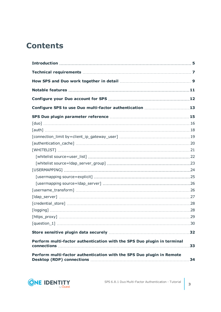### **Contents**

| Configure SPS to use Duo multi-factor authentication 13                 |    |
|-------------------------------------------------------------------------|----|
|                                                                         |    |
|                                                                         |    |
|                                                                         |    |
|                                                                         |    |
|                                                                         |    |
|                                                                         |    |
|                                                                         |    |
|                                                                         |    |
|                                                                         |    |
|                                                                         |    |
|                                                                         |    |
|                                                                         |    |
|                                                                         |    |
|                                                                         |    |
|                                                                         |    |
|                                                                         |    |
|                                                                         |    |
|                                                                         |    |
| Perform multi-factor authentication with the SPS Duo plugin in terminal | 33 |
| Perform multi-factor authentication with the SPS Duo plugin in Remote   |    |

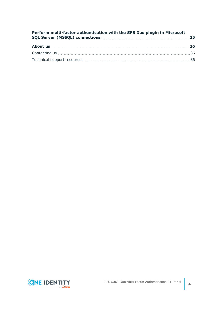| Perform multi-factor authentication with the SPS Duo plugin in Microsoft |  |
|--------------------------------------------------------------------------|--|
|                                                                          |  |
|                                                                          |  |
|                                                                          |  |

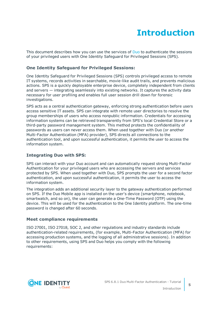## **Introduction**

<span id="page-4-0"></span>This document describes how you can use the services of [Duo](https://duo.com/) to authenticate the sessions of your privileged users with One Identity Safeguard for Privileged Sessions (SPS).

### **One Identity Safeguard for Privileged Sessions:**

One Identity Safeguard for Privileged Sessions (SPS) controls privileged access to remote IT systems, records activities in searchable, movie-like audit trails, and prevents malicious actions. SPS is a quickly deployable enterprise device, completely independent from clients and servers — integrating seamlessly into existing networks. It captures the activity data necessary for user profiling and enables full user session drill down for forensic investigations.

SPS acts as a central authentication gateway, enforcing strong authentication before users access sensitive IT assets. SPS can integrate with remote user directories to resolve the group memberships of users who access nonpublic information. Credentials for accessing information systems can be retrieved transparently from SPS's local Credential Store or a third-party password management system. This method protects the confidentiality of passwords as users can never access them. When used together with Duo (or another Multi-Factor Authentication (MFA) provider), SPS directs all connections to the authentication tool, and upon successful authentication, it permits the user to access the information system.

### **Integrating Duo with SPS:**

SPS can interact with your Duo account and can automatically request strong Multi-Factor Authentication for your privileged users who are accessing the servers and services protected by SPS. When used together with Duo, SPS prompts the user for a second factor authentication, and upon successful authentication, it permits the user to access the information system.

The integration adds an additional security layer to the gateway authentication performed on SPS. If the Duo Mobile app is installed on the user's device (smartphone, notebook, smartwatch, and so on), the user can generate a One-Time Password (OTP) using the device. This will be used for the authentication to the One Identity platform. The one-time password is changed after 60 seconds.

### **Meet compliance requirements**

ISO 27001, ISO 27018, SOC 2, and other regulations and industry standards include authentication-related requirements, (for example, Multi-Factor Authentication (MFA) for accessing production systems, and the logging of all administrative sessions). In addition to other requirements, using SPS and Duo helps you comply with the following requirements:

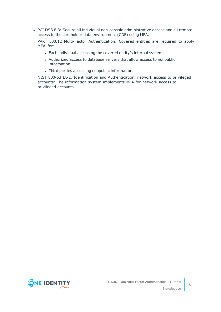- PCI DSS 8.3: Secure all individual non-console administrative access and all remote access to the cardholder data environment (CDE) using MFA.
- PART 500.12 Multi-Factor Authentication: Covered entities are required to apply MFA for:
	- Each individual accessing the covered entity's internal systems.
	- Authorized access to database servers that allow access to nonpublic information.
	- Third parties accessing nonpublic information.
- NIST 800-53 IA-2, Identification and Authentication, network access to privileged accounts: The information system implements MFA for network access to privileged accounts.

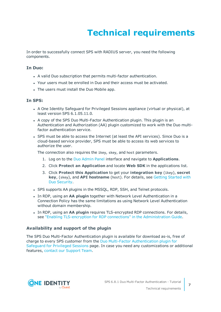# **Technical requirements**

<span id="page-6-0"></span>In order to successfully connect SPS with RADIUS server, you need the following components.

### **In Duo:**

- A valid Duo subscription that permits multi-factor authentication.
- Your users must be enrolled in Duo and their access must be activated.
- The users must install the Duo Mobile app.

### **In SPS:**

- A One Identity Safeguard for Privileged Sessions appliance (virtual or physical), at least version SPS 6.1.05.11.0.
- A copy of the SPS Duo Multi-Factor Authentication plugin. This plugin is an Authentication and Authorization (AA) plugin customized to work with the Duo multifactor authentication service.
- SPS must be able to access the Internet (at least the API services). Since Duo is a cloud-based service provider, SPS must be able to access its web services to authorize the user.

The connection also requires the ikey, skey, and host parameters.

- 1. Log on to the Duo [Admin](https://admin.duosecurity.com/) Panel interface and navigate to **Applications**.
- 2. Click **Protect an Application** and locate **Web SDK** in the applications list.
- 3. Click **Protect this Application** to get your **integration key** (ikey), **secret key**, (skey), and **API hostname** (host). For details, see Getting [Started](https://duo.com/docs/getting_started) with Duo [Security](https://duo.com/docs/getting_started).
- SPS supports AA plugins in the MSSQL, RDP, SSH, and Telnet protocols.
- **.** In RDP, using an AA plugin together with Network Level Authentication in a Connection Policy has the same limitations as using Network Level Authentication without domain membership.
- **In RDP, using an AA plugin requires TLS-encrypted RDP connections. For details,** see "Enabling [TLS-encryption](https://support.oneidentity.com/technical-documents/safeguard-for-privileged-sessions/6.8.1/administration-guide/rdp-specific-settings/enabling-tls-encryption-for-rdp-connections/) for RDP connections" in the Administration Guide.

### **Availability and support of the plugin**

The SPS Duo Multi-Factor Authentication plugin is available for download as-is, free of charge to every SPS customer from the Duo Multi-Factor [Authentication](https://github.com/OneIdentity/safeguard-sessions-plugin-duo-mfa/releases) plugin for [Safeguard](https://github.com/OneIdentity/safeguard-sessions-plugin-duo-mfa/releases) for Privileged Sessions page. In case you need any customizations or additional features, contact our [Support](https://support.oneidentity.com/one-identity-safeguard-for-privileged-sessions) Team.

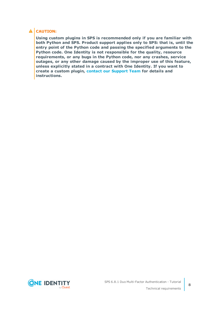### **A** CAUTION:

**Using custom plugins in SPS is recommended only if you are familiar with both Python and SPS. Product support applies only to SPS: that is, until the entry point of the Python code and passing the specified arguments to the Python code. One Identity is not responsible for the quality, resource requirements, or any bugs in the Python code, nor any crashes, service outages, or any other damage caused by the improper use of this feature, unless explicitly stated in a contract with One Identity. If you want to create a custom plugin, contact our [Support](https://support.oneidentity.com/one-identity-safeguard-for-privileged-sessions) Team for details and instructions.**

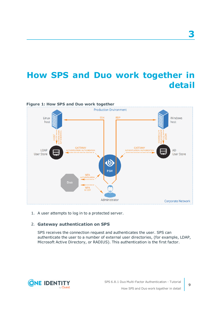## <span id="page-8-0"></span>**How SPS and Duo work together in detail**



1. A user attempts to log in to a protected server.

### 2. **Gateway authentication on SPS**

SPS receives the connection request and authenticates the user. SPS can authenticate the user to a number of external user directories, (for example, LDAP, Microsoft Active Directory, or RADIUS). This authentication is the first factor.



**3**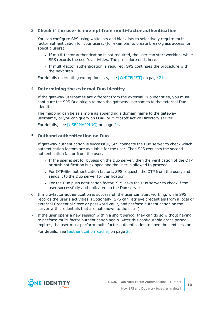### 3. **Check if the user is exempt from multi-factor authentication**

You can configure SPS using whitelists and blacklists to selectively require multifactor authentication for your users, (for example, to create break-glass access for specific users).

- If multi-factor authentication is not required, the user can start working, while SPS records the user's activities. The procedure ends here.
- If multi-factor authentication is required, SPS continues the procedure with the next step.

For details on creating exemption lists, see [\[WHITELIST\]](#page-20-0) on page 21.

### 4. **Determining the external Duo identity**

If the gateway usernames are different from the external Duo identities, you must configure the SPS Duo plugin to map the gateway usernames to the external Duo identities.

The mapping can be as simple as appending a domain name to the gateway username, or you can query an LDAP or Microsoft Active Directory server.

For details, see [\[USERMAPPING\]](#page-23-0) on page 24.

### 5. **Outband authentication on Duo**

If gateway authentication is successful, SPS connects the Duo server to check which authentication factors are available for the user. Then SPS requests the second authentication factor from the user.

- If the user is set for bypass on the Duo server, then the verification of the OTP or push notification is skipped and the user is allowed to proceed.
- For OTP-like authentication factors, SPS requests the OTP from the user, and sends it to the Duo server for verification.
- For the Duo push notification factor, SPS asks the Duo server to check if the user successfully authenticated on the Duo server.
- 6. If multi-factor authentication is successful, the user can start working, while SPS records the user's activities. (Optionally, SPS can retrieve credentials from a local or external Credential Store or password vault, and perform authentication on the server with credentials that are not known to the user.)
- 7. If the user opens a new session within a short period, they can do so without having to perform multi-factor authentication again. After this configurable grace period expires, the user must perform multi-factor authentication to open the next session.

For details, see [\[authentication\\_cache\]](#page-19-0) on page 20.

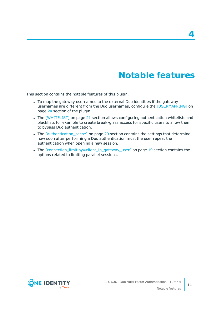## **Notable features**

<span id="page-10-0"></span>This section contains the notable features of this plugin.

- To map the gateway usernames to the external Duo identities if the gateway usernames are different from the Duo usernames, configure the [\[USERMAPPING\]](#page-23-0) on [page](#page-23-0) 24 section of the plugin.
- The [\[WHITELIST\]](#page-20-0) on page 21 section allows configuring authentication whitelists and blacklists for example to create break-glass access for specific users to allow them to bypass Duo authentication.
- The *[\[authentication\\_cache\]](#page-19-0)* on page 20 section contains the settings that determine how soon after performing a Duo authentication must the user repeat the authentication when opening a new session.
- The [connection\_limit [by=client\\_ip\\_gateway\\_user\]](#page-18-0) on page 19 section contains the options related to limiting parallel sessions.

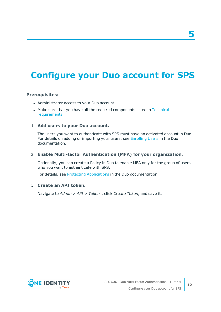### **5**

## <span id="page-11-0"></span>**Configure your Duo account for SPS**

### **Prerequisites:**

- Administrator access to your Duo account.
- Make sure that you have all the required components listed in [Technical](#page-6-0) [requirements](#page-6-0).

### 1. **Add users to your Duo account.**

The users you want to authenticate with SPS must have an activated account in Duo. For details on adding or importing your users, see [Enrolling](https://duo.com/docs/enrolling_users) Users in the Duo documentation.

### 2. **Enable Multi-factor Authentication (MFA) for your organization.**

Optionally, you can create a Policy in Duo to enable MFA only for the group of users who you want to authenticate with SPS.

For details, see Protecting [Applications](https://duo.com/docs/creating_applications) in the Duo documentation.

### 3. **Create an API token.**

Navigate to *Admin > API > Tokens*, click *Create Token*, and save it.



**12**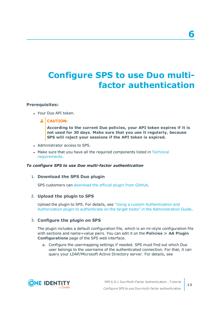## <span id="page-12-0"></span>**Configure SPS to use Duo multifactor authentication**

### **Prerequisites:**

- Your Duo API token.
	- **A** CAUTION:

**According to the current Duo policies, your API token expires if it is not used for 30 days. Make sure that you use it regularly, because SPS will reject your sessions if the API token is expired.**

- Administrator access to SPS.
- Make sure that you have all the required components listed in [Technical](#page-6-0) [requirements](#page-6-0).

#### *To configure SPS to use Duo multi-factor authentication*

### 1. **Download the SPS Duo plugin**

SPS customers can [download](https://github.com/OneIdentity/safeguard-sessions-plugin-duo-mfa/releases) the official plugin from GitHub.

### 2. **Upload the plugin to SPS**

Upload the plugin to SPS. For details, see "Using a custom [Authentication](https://support.oneidentity.com/technical-documents/safeguard-for-privileged-sessions/6.8.1/administration-guide/advanced-authentication-and-authorization-techniques/integrating-external-authentication-and-authorization-systems/using-a-custom-authentication-and-authorization-plugin-to-authenticate-on-the-target-hosts/) and Authorization plugin to authenticate on the target hosts" in the [Administration](https://support.oneidentity.com/technical-documents/safeguard-for-privileged-sessions/6.8.1/administration-guide/advanced-authentication-and-authorization-techniques/integrating-external-authentication-and-authorization-systems/using-a-custom-authentication-and-authorization-plugin-to-authenticate-on-the-target-hosts/) Guide.

### 3. **Configure the plugin on SPS**

The plugin includes a default configuration file, which is an ini-style configuration file with sections and name=value pairs. You can edit it on the **Policies > AA Plugin Configurations** page of the SPS web interface.

a. Configure the usermapping settings if needed. SPS must find out which Duo user belongs to the username of the authenticated connection. For that, it can query your LDAP/Microsoft Active Directory server. For details, see



**13**

**6**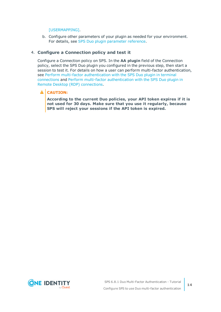### [\[USERMAPPING\].](#page-23-0)

b. Configure other parameters of your plugin as needed for your environment. For details, see SPS Duo plugin [parameter](#page-14-0) reference.

### 4. **Configure a Connection policy and test it**

Configure a Connection policy on SPS. In the **AA plugin** field of the Connection policy, select the SPS Duo plugin you configured in the previous step, then start a session to test it. For details on how a user can perform multi-factor authentication, see Perform multi-factor [authentication](#page-32-0) with the SPS Duo plugin in terminal [connections](#page-32-0) and Perform multi-factor [authentication](#page-33-0) with the SPS Duo plugin in Remote Desktop (RDP) [connections.](#page-33-0)

### **A** CAUTION:

**According to the current Duo policies, your API token expires if it is not used for 30 days. Make sure that you use it regularly, because SPS will reject your sessions if the API token is expired.**

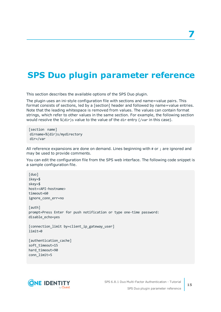## <span id="page-14-0"></span>**SPS Duo plugin parameter reference**

This section describes the available options of the SPS Duo plugin.

The plugin uses an ini-style configuration file with sections and name=value pairs. This format consists of sections, led by a [section] header and followed by name=value entries. Note that the leading whitespace is removed from values. The values can contain format strings, which refer to other values in the same section. For example, the following section would resolve the %(dir)s value to the value of the dir entry (/var in this case).

[section name] dirname=%(dir)s/mydirectory dir=/var

All reference expansions are done on demand. Lines beginning with # or ; are ignored and may be used to provide comments.

You can edit the configuration file from the SPS web interface. The following code snippet is a sample configuration file.

[duo] ikey=\$ skey=\$ host=<API-hostname> timeout=60 ignore\_conn\_err=no [auth] prompt=Press Enter for push notification or type one-time password: disable\_echo=yes [connection\_limit by=client\_ip\_gateway\_user] limit=0 [authentication\_cache] soft\_timeout=15 hard timeout=90 conn\_limit=5



**15**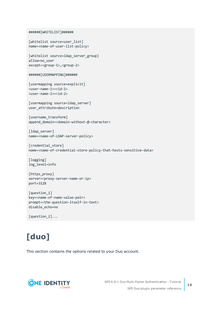```
######[WHITELIST]######
```

```
[whitelist source=user list]
name=<name-of-user-list-policy>
[whitelist source=ldap server group]
```
allow=no\_user except=<group-1>,<group-2>

```
######[USERMAPPING]######
```
[usermapping source=explicit] <user-name-1>=<id-1> <user-name-2>=<id-2>

[usermapping source=ldap\_server] user attribute=description

```
[username transform]
append_domain=<domain-without-@-character>
```
[ldap\_server] name=<name-of-LDAP-server-policy>

```
[credential store]
name=<name-of-credential-store-policy-that-hosts-sensitive-data>
```
[logging] log\_level=info

```
[https_proxy]
server=<proxy-server-name-or-ip>
port=3128
```

```
[question_1]
key=<name-of-name-value-pair>
prompt=<the-question-itself-in-text>
disable_echo=no
```
[question\_2]...

# <span id="page-15-0"></span>**[duo]**

This section contains the options related to your Duo account.

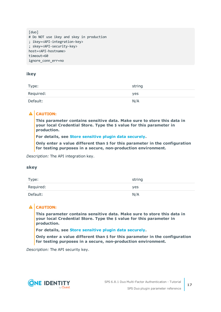```
[duo]
# Do NOT use ikey and skey in production
; ikey=<API-integration-key>
; skey=<API-security-key>
host=<API-hostname>
timeout=60
ignore_conn_err=no
```
### **ikey**

| Type:     | string |
|-----------|--------|
| Required: | yes    |
| Default:  | N/A    |

### **A** CAUTION:

**This parameter contains sensitive data. Make sure to store this data in your local Credential Store. Type the \$ value for this parameter in production.**

**For details, see Store [sensitive](#page-31-0) plugin data securely.**

**Only enter a value different than \$ for this parameter in the configuration for testing purposes in a secure, non-production environment.**

*Description:* The API integration key.

### **skey**

| Type:     | string |
|-----------|--------|
| Required: | yes    |
| Default:  | N/A    |

### **A** CAUTION:

**This parameter contains sensitive data. Make sure to store this data in your local Credential Store. Type the \$ value for this parameter in production.**

**For details, see Store [sensitive](#page-31-0) plugin data securely.**

**Only enter a value different than \$ for this parameter in the configuration for testing purposes in a secure, non-production environment.**

*Description:* The API security key.

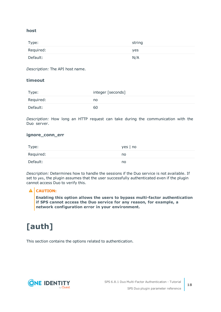### **host**

| Type:     | string |
|-----------|--------|
| Required: | yes    |
| Default:  | N/A    |

*Description:* The API host name.

### **timeout**

| Type:     | integer [seconds] |
|-----------|-------------------|
| Required: | no                |
| Default:  | 60                |

*Description:* How long an HTTP request can take during the communication with the Duo server.

### **ignore\_conn\_err**

| Type:     | $yes \mid no$ |
|-----------|---------------|
| Required: | no            |
| Default:  | no            |

*Description:* Determines how to handle the sessions if the Duo service is not available. If set to yes, the plugin assumes that the user successfully authenticated even if the plugin cannot access Duo to verify this.

### **A** CAUTION:

**Enabling this option allows the users to bypass multi-factor authentication if SPS cannot access the Duo service for any reason, for example, a network configuration error in your environment.**

## <span id="page-17-0"></span>**[auth]**

This section contains the options related to authentication.

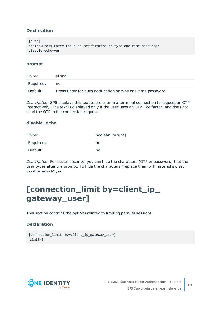### **Declaration**

[auth] prompt=Press Enter for push notification or type one-time password: disable\_echo=yes

### **prompt**

| Type:     | string                                                       |
|-----------|--------------------------------------------------------------|
| Required: | no                                                           |
| Default:  | Press Enter for push notification or type one-time password: |

*Description:* SPS displays this text to the user in a terminal connection to request an OTP interactively. The text is displayed only if the user uses an OTP-like factor, and does not send the OTP in the connection request.

### **disable\_echo**

| Type:     | boolean (yes no) |
|-----------|------------------|
| Required: | no               |
| Default:  | no               |

*Description:* For better security, you can hide the characters (OTP or password) that the user types after the prompt. To hide the characters (replace them with asterisks), set disable\_echo to yes.

### <span id="page-18-0"></span>**[connection\_limit by=client\_ip\_ gateway\_user]**

This section contains the options related to limiting parallel sessions.

### **Declaration**

```
[connection_limit by=client_ip_gateway_user]
limit=0
```
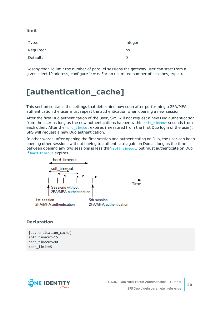### **limit**

| Type:     | integer |
|-----------|---------|
| Required: | no      |
| Default:  | O       |

*Description:* To limit the number of parallel sessions the gateway user can start from a given client IP address, configure limit. For an unlimited number of sessions, type 0.

### <span id="page-19-0"></span>**[authentication\_cache]**

This section contains the settings that determine how soon after performing a 2FA/MFA authentication the user must repeat the authentication when opening a new session.

After the first Duo authentication of the user, SPS will not request a new Duo authentication from the user as long as the new authentications happen within soft  $timeout$  seconds from each other. After the hard timeout expires (measured from the first Duo login of the user), SPS will request a new Duo authentication.

In other words, after opening the first session and authenticating on Duo, the user can keep opening other sessions without having to authenticate again on Duo as long as the time between opening any two sessions is less than soft timeout, but must authenticate on Duo if hard timeout expires.



### **Declaration**

[authentication\_cache] soft\_timeout=15 hard timeout=90 conn\_limit=5

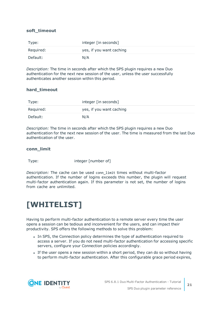### <span id="page-20-1"></span>**soft\_timeout**

| Type:     | integer [in seconds]     |
|-----------|--------------------------|
| Required: | yes, if you want caching |
| Default:  | N/A                      |

*Description:* The time in seconds after which the SPS plugin requires a new Duo authentication for the next new session of the user, unless the user successfully authenticates another session within this period.

### <span id="page-20-2"></span>**hard\_timeout**

| Type:     | integer [in seconds]     |
|-----------|--------------------------|
| Required: | yes, if you want caching |
| Default:  | N/A                      |

*Description:* The time in seconds after which the SPS plugin requires a new Duo authentication for the next new session of the user. The time is measured from the last Duo authentication of the user.

### **conn\_limit**

Type: integer [number of]

*Description:* The cache can be used conn\_limit times without multi-factor authentication. If the number of logins exceeds this number, the plugin will request multi-factor authentication again. If this parameter is not set, the number of logins from cache are unlimited.

### <span id="page-20-0"></span>**[WHITELIST]**

Having to perform multi-factor authentication to a remote server every time the user opens a session can be tedious and inconvenient for the users, and can impact their productivity. SPS offers the following methods to solve this problem:

- In SPS, the Connection policy determines the type of authentication required to access a server. If you do not need multi-factor authentication for accessing specific servers, configure your Connection policies accordingly.
- If the user opens a new session within a short period, they can do so without having to perform multi-factor authentication. After this configurable grace period expires,

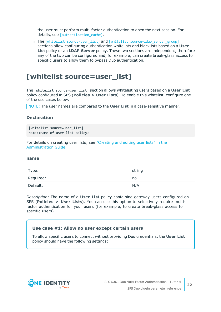the user must perform multi-factor authentication to open the next session. For details, see [authentication cache].

• The [whitelist [source=user\\_list\]](#page-21-0) and [whitelist [source=ldap\\_server\\_group\]](#page-22-0) sections allow configuring authentication whitelists and blacklists based on a **User List** policy or an **LDAP Server** policy. These two sections are independent, therefore any of the two can be configured and, for example, can create break-glass access for specific users to allow them to bypass Duo authentication.

### <span id="page-21-0"></span>**[whitelist source=user\_list]**

The [whitelist source=user\_list] section allows whitelisting users based on a **User List** policy configured in SPS (**Policies > User Lists**). To enable this whitelist, configure one of the use cases below.

NOTE: The user names are compared to the **User List** in a case-sensitive manner.

### **Declaration**

```
[whitelist source=user list]
name=<name-of-user-list-policy>
```
For details on creating user lists, see ["Creating](https://support.oneidentity.com/technical-documents/safeguard-for-privileged-sessions/6.8.1/administration-guide/general-connection-settings/creating-and-editing-user-lists/) and editing user lists" in the [Administration](https://support.oneidentity.com/technical-documents/safeguard-for-privileged-sessions/6.8.1/administration-guide/general-connection-settings/creating-and-editing-user-lists/) Guide.

#### <span id="page-21-1"></span>**name**

| Type:     | string |
|-----------|--------|
| Required: | no     |
| Default:  | N/A    |

*Description:* The name of a **User List** policy containing gateway users configured on SPS (**Policies > User Lists**). You can use this option to selectively require multifactor authentication for your users (for example, to create break-glass access for specific users).

### **Use case #1: Allow no user except certain users**

To allow specific users to connect without providing Duo credentials, the **User List** policy should have the following settings:

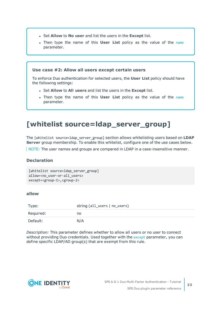- <sup>l</sup> Set **Allow** to **No user** and list the users in the **Except** list.
- **.** Then type the [name](#page-21-1) of this **User List** policy as the value of the name parameter.

### **Use case #2: Allow all users except certain users**

To enforce Duo authentication for selected users, the **User List** policy should have the following settings:

- <sup>l</sup> Set **Allow** to **All users** and list the users in the **Except** list.
- <sup>l</sup> Then type the name of this **User List** policy as the value of the [name](#page-21-1) parameter.

### <span id="page-22-0"></span>**[whitelist source=ldap\_server\_group]**

The [whitelist source=ldap\_server\_group] section allows whitelisting users based on **LDAP Server** group membership. To enable this whitelist, configure one of the use cases below.

NOTE: The user names and groups are compared in LDAP in a case-insensitive manner.

### **Declaration**

```
[whitelist source=ldap_server_group]
allow=<no_user-or-all_users>
except=<group-1>,<group-2>
```
### <span id="page-22-1"></span>**allow**

| Type:     | string (all_users   no_users) |
|-----------|-------------------------------|
| Required: | no                            |
| Default:  | N/A                           |

*Description:* This parameter defines whether to allow all users or no user to connect without providing Duo credentials. Used together with the [except](#page-23-1) parameter, you can define specific LDAP/AD group(s) that are exempt from this rule.

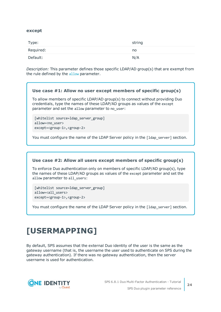#### <span id="page-23-1"></span>**except**

| Type:     | string |
|-----------|--------|
| Required: | no     |
| Default:  | N/A    |

*Description:* This parameter defines those specific LDAP/AD group(s) that are exempt from the rule defined by the [allow](#page-22-1) parameter.

### **Use case #1: Allow no user except members of specific group(s)** To allow members of specific LDAP/AD group(s) to connect without providing Duo credentials, type the names of these LDAP/AD groups as values of the except parameter and set the allow parameter to no user:

```
[whitelist source=ldap server group]
allow=<no_user>
except=<group-1>,<group-2>
```
You must configure the name of the LDAP Server policy in the [1dap\_server] section.

### **Use case #2: Allow all users except members of specific group(s)**

To enforce Duo authentication only on members of specific LDAP/AD group(s), type the names of these LDAP/AD groups as values of the except parameter and set the allow parameter to all users:

[whitelist source=ldap\_server\_group] allow=<all\_users> except=<group-1>,<group-2>

You must configure the name of the LDAP Server policy in the [1dap\_server] section.

## <span id="page-23-0"></span>**[USERMAPPING]**

By default, SPS assumes that the external Duo identity of the user is the same as the gateway username (that is, the username the user used to authenticate on SPS during the gateway authentication). If there was no gateway authentication, then the server username is used for authentication.

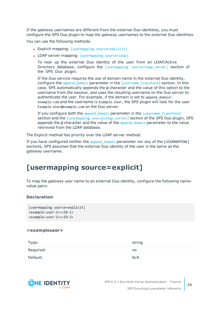If the gateway usernames are different from the external Duo identities, you must configure the SPS Duo plugin to map the gateway usernames to the external Duo identities.

You can use the following methods:

- Explicit mapping: [usermapping [source=explicit\]](#page-24-0)
- LDAP server mapping: [\[usermapping](#page-25-0) source=ldap]

To look up the external Duo identity of the user from an LDAP/Active Directory database, configure the [usermapping source=ldap server] section of the SPS Duo plugin.

If the Duo service requires the use of domain name in the external Duo identity, configure the [append\\_domain](#page-26-1) parameter in the [\[username\\_transform\]](#page-25-1) section. In this case, SPS automatically appends the @ character and the value of this option to the username from the session, and uses the resulting username on the Duo server to authenticate the user. For example, if the domain is set to append\_domain: example.com and the username is Example.User, the SPS plugin will look for the user Example.User@example.com on the Duo server.

If you configure both the append domain parameter in the [\[username\\_transform\]](#page-25-1) section and the [usermapping\_source=1dap\_server] section of the SPS Duo plugin, SPS appends the  $\omega$  character and the value of the append domain parameter to the value retrieved from the LDAP database.

The Explicit method has priority over the LDAP server method.

If you have configured neither the append domain parameter nor any of the [USERMAPPING] sections, SPS assumes that the external Duo identity of the user is the same as the gateway username.

### <span id="page-24-0"></span>**[usermapping source=explicit]**

To map the gateway user name to an external Duo identity, configure the following namevalue pairs.

### **Declaration**

```
[usermapping source=explicit]
<example-user-1>=<ID-1>
<example-user-2>=<ID-2>
```
#### **<exampleuser>**

| Type:     | string |
|-----------|--------|
| Required: | no     |
| Default:  | N/A    |

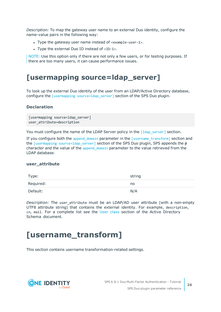*Description:* To map the gateway user name to an external Duo identity, configure the name-value pairs in the following way:

- Type the gateway user name instead of  $\langle$  example-user-1>.
- Type the external Duo ID instead of  $\langle$ ID-1>.

NOTE: Use this option only if there are not only a few users, or for testing purposes. If there are too many users, it can cause performance issues.

### <span id="page-25-0"></span>**[usermapping source=ldap\_server]**

To look up the external Duo identity of the user from an LDAP/Active Directory database, configure the *[usermapping source=ldap server]* section of the SPS Duo plugin.

### **Declaration**

```
[usermapping source=1dap server]
user attribute=description
```
You must configure the name of the LDAP Server policy in the [1dap\_server] section.

If you configure both the append domain parameter in the  $[$ username transform] section and the [usermapping [source=ldap\\_server\]](#page-25-0) section of the SPS Duo plugin, SPS appends the  $\omega$ character and the value of the append domain parameter to the value retrieved from the LDAP database.

### **user\_attribute**

| Type:     | string |
|-----------|--------|
| Required: | no     |
| Default:  | N/A    |

*Description:* The user\_attribute must be an LDAP/AD user attribute (with a non-empty UTF8 attribute string) that contains the external identity. For example, description, cn, mail. For a complete list see the User [class](https://docs.microsoft.com/en-gb/windows/desktop/ADSchema/c-user) section of the Active Directory Schema document.

### <span id="page-25-1"></span>**[username\_transform]**

This section contains username transformation-related settings.

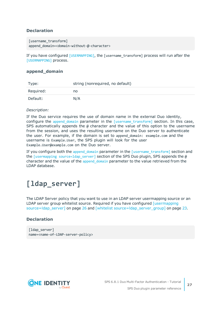### **Declaration**

```
[username transform]
append domain=<domain-without-@-character>
```
If you have configured [\[USERMAPPING\]](#page-23-0), the [username\_transform] process will run after the [\[USERMAPPING\]](#page-23-0) process.

### <span id="page-26-1"></span>**append\_domain**

| Type:     | string (nonrequired, no default) |
|-----------|----------------------------------|
| Required: | no                               |
| Default:  | N/A                              |

### *Description:*

If the Duo service requires the use of domain name in the external Duo identity, configure the append domain parameter in the [username transform] section. In this case, SPS automatically appends the  $\omega$  character and the value of this option to the username from the session, and uses the resulting username on the Duo server to authenticate the user. For example, if the domain is set to append domain: example.com and the username is Example.User, the SPS plugin will look for the user Example.User@example.com on the Duo server.

If you configure both the [append\\_domain](#page-26-1) parameter in the [\[username\\_transform\]](#page-25-1) section and the [usermapping source=1dap\_server] section of the SPS Duo plugin, SPS appends the  $\omega$ character and the value of the append domain parameter to the value retrieved from the LDAP database.

### <span id="page-26-0"></span>**[ldap\_server]**

The LDAP Server policy that you want to use in an LDAP server usermapping source or an LDAP server group whitelist source. Required if you have configured [\[usermapping](#page-25-0) [source=ldap\\_server\]](#page-25-0) on page 26 and [whitelist [source=ldap\\_server\\_group\]](#page-22-0) on page 23.

### **Declaration**

```
[ldap server]
name=<name-of-LDAP-server-policy>
```
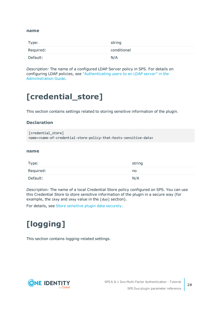#### **name**

| Type:     | string      |
|-----------|-------------|
| Required: | conditional |
| Default:  | N/A         |

*Description:* The name of a configured LDAP Server policy in SPS. For details on configuring LDAP policies, see ["Authenticating](https://support.oneidentity.com/technical-documents/safeguard-for-privileged-sessions/6.8.1/administration-guide/general-connection-settings/authenticating-users-to-an-ldap-server/) users to an LDAP server" in the [Administration](https://support.oneidentity.com/technical-documents/safeguard-for-privileged-sessions/6.8.1/administration-guide/general-connection-settings/authenticating-users-to-an-ldap-server/) Guide.

## <span id="page-27-0"></span>**[credential\_store]**

This section contains settings related to storing sensitive information of the plugin.

### **Declaration**

```
[credential_store]
name=<name-of-credential-store-policy-that-hosts-sensitive-data>
```
#### <span id="page-27-2"></span>**name**

| Type:     | string |
|-----------|--------|
| Required: | no     |
| Default:  | N/A    |

*Description:* The name of a local Credential Store policy configured on SPS. You can use this Credential Store to store sensitive information of the plugin in a secure way (for example, the ikey and skey value in the [duo] section).

<span id="page-27-1"></span>For details, see Store [sensitive](#page-31-0) plugin data securely.

## **[logging]**

This section contains logging-related settings.

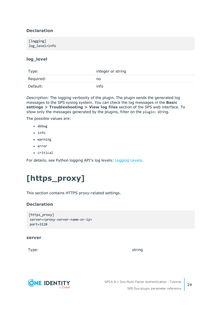### **Declaration**

[logging] log\_level=info

### **log\_level**

| Type:     | integer or string |
|-----------|-------------------|
| Required: | no                |
| Default:  | info              |

*Description:* The logging verbosity of the plugin. The plugin sends the generated log messages to the SPS syslog system. You can check the log messages in the **Basic settings > Troubleshooting > View log files** section of the SPS web interface. To show only the messages generated by the plugins, filter on the plugin: string.

The possible values are:

- debug
- info
- $\bullet$  warning
- $\cdot$  error
- critical

<span id="page-28-0"></span>For details, see Python logging API's log levels: [Logging](https://docs.python.org/2/library/logging.html#logging-levels) Levels.

## **[https\_proxy]**

This section contains HTTPS proxy-related settings.

### **Declaration**

```
[https_proxy]
server=<proxy-server-name-or-ip>
port=3128
```
#### **server**

Type: which is a string string to the string string string string



SPS 6.8.1 Duo Multi-Factor Authentication - Tutorial SPS Duo plugin parameter reference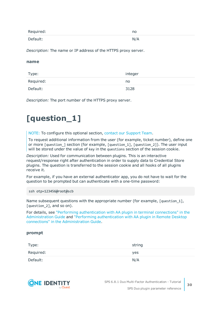| Required: | no  |
|-----------|-----|
| Default:  | N/A |

*Description:* The name or IP address of the HTTPS proxy server.

#### **name**

| Type:     | integer |
|-----------|---------|
| Required: | no      |
| Default:  | 3128    |

<span id="page-29-0"></span>*Description:* The port number of the HTTPS proxy server.

## **[question\_1]**

NOTE: To configure this optional section, contact our [Support](https://support.oneidentity.com/one-identity-safeguard-for-privileged-sessions) Team.

To request additional information from the user (for example, ticket number), define one or more [question\_] section (for example, [question\_1], [question\_2]). The user input will be stored under the value of key in the questions section of the session cookie.

*Description:* Used for communication between plugins. This is an interactive request/response right after authentication in order to supply data to Credential Store plugins. The question is transferred to the session cookie and all hooks of all plugins receive it.

For example, if you have an external authenticator app, you do not have to wait for the question to be prompted but can authenticate with a one-time password:

ssh otp=123456@root@scb

Name subsequent questions with the appropriate number (for example, [question 1], [question 2], and so on).

For details, see "Performing [authentication](https://support.oneidentity.com/technical-documents/safeguard-for-privileged-sessions/6.8.1/administration-guide/advanced-authentication-and-authorization-techniques/integrating-external-authentication-and-authorization-systems/performing-authentication-with-aa-plugin-in-terminal-connections/) with AA plugin in terminal connections" in the [Administration](https://support.oneidentity.com/technical-documents/safeguard-for-privileged-sessions/6.8.1/administration-guide/advanced-authentication-and-authorization-techniques/integrating-external-authentication-and-authorization-systems/performing-authentication-with-aa-plugin-in-terminal-connections/) Guide and "Performing [authentication](https://support.oneidentity.com/technical-documents/safeguard-for-privileged-sessions/6.8.1/administration-guide/advanced-authentication-and-authorization-techniques/integrating-external-authentication-and-authorization-systems/performing-authentication-with-aa-plugin-in-remote-desktop-connections/) with AA plugin in Remote Desktop connections" in the [Administration](https://support.oneidentity.com/technical-documents/safeguard-for-privileged-sessions/6.8.1/administration-guide/advanced-authentication-and-authorization-techniques/integrating-external-authentication-and-authorization-systems/performing-authentication-with-aa-plugin-in-remote-desktop-connections/) Guide.

### **prompt**

| Type:     | string |
|-----------|--------|
| Required: | yes    |
| Default:  | N/A    |

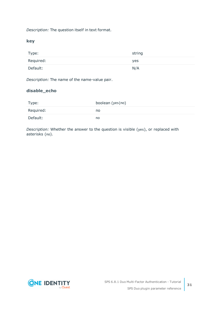*Description:* The question itself in text format.

**key**

| Type:     | string |
|-----------|--------|
| Required: | yes    |
| Default:  | N/A    |

*Description:* The name of the name-value pair.

### **disable\_echo**

| Type:     | boolean (yes   no) |
|-----------|--------------------|
| Required: | no                 |
| Default:  | no                 |

*Description:* Whether the answer to the question is visible (yes), or replaced with asterisks (no).

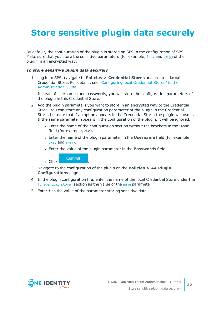## <span id="page-31-0"></span>**Store sensitive plugin data securely**

By default, the configuration of the plugin is stored on SPS in the configuration of SPS. Make sure that you store the sensitive parameters (for example, *[ikey](#page-14-0)* and *[skey](#page-14-0)*) of the plugin in an encrypted way.

### *To store sensitive plugin data securely*

1. Log in to SPS, navigate to **Policies > Credential Stores** and create a **Local** Credential Store. For details, see ["Configuring](https://support.oneidentity.com/technical-documents/safeguard-for-privileged-sessions/6.8.1/administration-guide/advanced-authentication-and-authorization-techniques/using-credential-stores-for-server-side-authentication/configuring-local-credential-stores/) local Credential Stores" in the [Administration](https://support.oneidentity.com/technical-documents/safeguard-for-privileged-sessions/6.8.1/administration-guide/advanced-authentication-and-authorization-techniques/using-credential-stores-for-server-side-authentication/configuring-local-credential-stores/) Guide.

Instead of usernames and passwords, you will store the configuration parameters of the plugin in this Credential Store.

- 2. Add the plugin parameters you want to store in an encrypted way to the Credential Store. You can store any configuration parameter of the plugin in the Credential Store, but note that if an option appears in the Credential Store, the plugin will use it. If the same parameter appears in the configuration of the plugin, it will be ignored.
	- **Enter the name of the configuration section without the brackets in the Host** field (for example, duo).
	- <sup>l</sup> Enter the name of the plugin parameter in the **Username** field (for example, [ikey](#page-14-0) and [skey](#page-14-0)).
	- <sup>l</sup> Enter the value of the plugin parameter in the **Passwords** field.

**Commit**  $\blacksquare$  Click

- 3. Navigate to the configuration of the plugin on the **Policies > AA Plugin Configurations** page.
- 4. In the plugin configuration file, enter the name of the local Credential Store under the [\[credential\\_store\]](#page-27-0) section as the value of the [name](#page-27-2) parameter.
- 5. Enter  $$$  as the value of the parameter storing sensitive data.

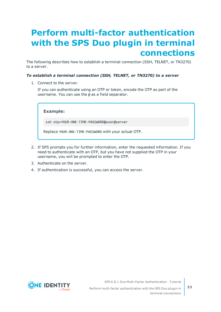## <span id="page-32-0"></span>**Perform multi-factor authentication with the SPS Duo plugin in terminal connections**

The following describes how to establish a terminal connection (SSH, TELNET, or TN3270) to a server.

### *To establish a terminal connection (SSH, TELNET, or TN3270) to a server*

1. Connect to the server.

If you can authenticate using an OTP or token, encode the OTP as part of the username. You can use the @ as a field separator.

**Example:**

ssh otp=YOUR-ONE-TIME-PASSWORD@user@server

Replace YOUR-ONE-TIME-PASSWORD with your actual OTP.

- 2. If SPS prompts you for further information, enter the requested information. If you need to authenticate with an OTP, but you have not supplied the OTP in your username, you will be prompted to enter the OTP.
- 3. Authenticate on the server.
- 4. If authentication is successful, you can access the server.

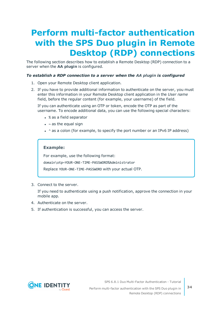## <span id="page-33-0"></span>**Perform multi-factor authentication with the SPS Duo plugin in Remote Desktop (RDP) connections**

The following section describes how to establish a Remote Desktop (RDP) connection to a server when the **AA plugin** is configured.

### *To establish a RDP connection to a server when the AA plugin is configured*

- 1. Open your Remote Desktop client application.
- 2. If you have to provide additional information to authenticate on the server, you must enter this information in your Remote Desktop client application in the *User name* field, before the regular content (for example, your username) of the field.

If you can authenticate using an OTP or token, encode the OTP as part of the username. To encode additional data, you can use the following special characters:

- % as a field separator
- $\bullet$  ~ as the equal sign
- $\cdot$  ^ as a colon (for example, to specify the port number or an IPv6 IP address)

### **Example:**

For example, use the following format:

domain\otp~YOUR-ONE-TIME-PASSWORD%Administrator

Replace YOUR-ONE-TIME-PASSWORD with your actual OTP.

3. Connect to the server.

If you need to authenticate using a push notification, approve the connection in your mobile app.

- 4. Authenticate on the server.
- 5. If authentication is successful, you can access the server.



SPS 6.8.1 Duo Multi-Factor Authentication - Tutorial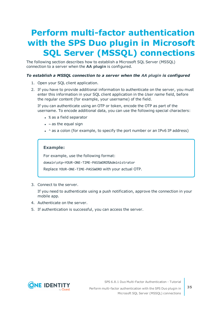## <span id="page-34-0"></span>**Perform multi-factor authentication with the SPS Duo plugin in Microsoft SQL Server (MSSQL) connections**

The following section describes how to establish a Microsoft SQL Server (MSSQL) connection to a server when the **AA plugin** is configured.

### *To establish a MSSQL connection to a server when the AA plugin is configured*

- 1. Open your SQL client application.
- 2. If you have to provide additional information to authenticate on the server, you must enter this information in your SQL client application in the *User name* field, before the regular content (for example, your username) of the field.

If you can authenticate using an OTP or token, encode the OTP as part of the username. To encode additional data, you can use the following special characters:

- % as a field separator
- $\bullet$  ~ as the equal sign
- $\cdot$  ^ as a colon (for example, to specify the port number or an IPv6 IP address)

### **Example:**

For example, use the following format:

domain\otp~YOUR-ONE-TIME-PASSWORD%Administrator

Replace YOUR-ONE-TIME-PASSWORD with your actual OTP.

3. Connect to the server.

If you need to authenticate using a push notification, approve the connection in your mobile app.

- 4. Authenticate on the server.
- 5. If authentication is successful, you can access the server.



SPS 6.8.1 Duo Multi-Factor Authentication - Tutorial